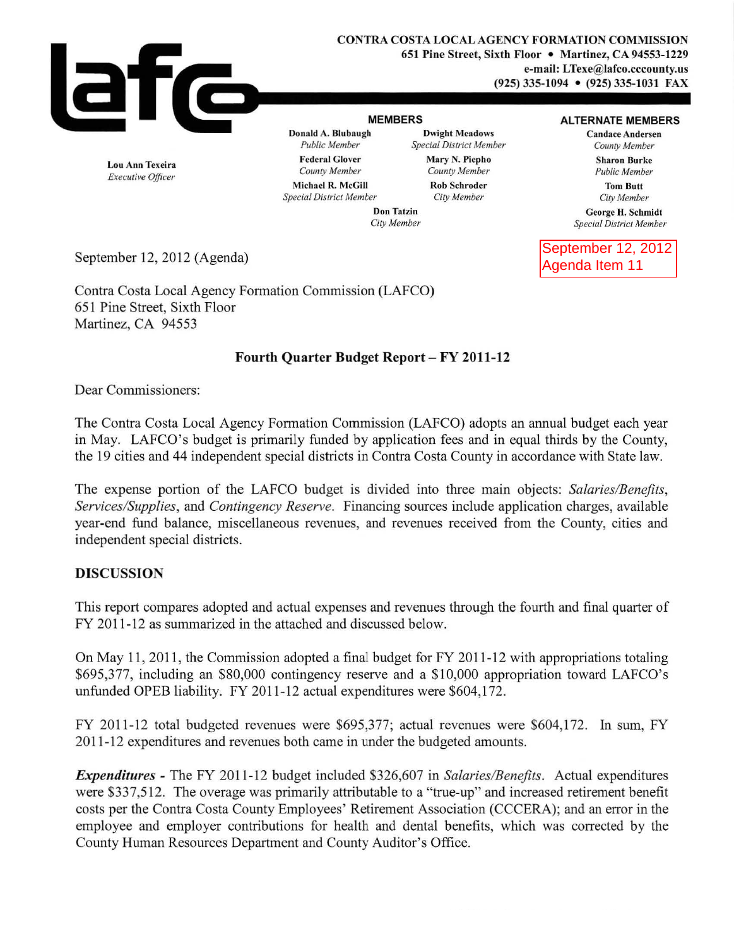

**Donald A. Blubaugh Dwight Meadows Candace Andersen**<br>Public Member Special District Member County Member *Public Member Public Member County Member County Member* Federal Glover Mary N. Piepho Sharon Burke<br>
County Member County Member Sharon Burke<br>
Public Member

MEMBERS **ALTERNATE MEMBERS** 

 $Public Member$ 

Tom Butt *City Member* 

Ceorge H. Schmidt *Special District Member* 

September 12, 2012 Agenda Item 11

Lou Ann Texeira *Executive Officer* 

Michael R. McGill **Rob Schroder**<br>
Secial District Member<br>  $C$ ity Member  $Special$  *District Member* 

Don Tatzin *City Member* 

September 12, 2012 (Agenda)

Contra Costa Local Agency Fonnation Commission (LAFCO) 651 Pine Street, Sixth Floor Martinez, CA 94553

# Fourth Quarter Budget Report - FY 2011-12

Dear Commissioners:

The Contra Costa Local Agency Fonnation Commission (LAFCO) adopts an annual budget each year in May. LAFCO's budget is primarily funded by application fees and in equal thirds by the County, the 19 cities and 44 independent special districts in Contra Costa County in accordance with State law.

The expense portion of the LAFCO budget is divided into three main objects: *Salaries/Benefits, Services/Supplies,* and *Contingency Reserve.* Financing sources include application charges, available year-end fund balance, miscellaneous revenues, and revenues received from the County, cities and independent special districts.

# DISCUSSION

This report compares adopted and actual expenses and revenues through the fourth and final quarter of FY 2011-12 as summarized in the attached and discussed below.

On May 11, 2011, the Commission adopted a final budget for FY 2011-12 with appropriations totaling \$695,377, including an \$80,000 contingency reserve and a \$10,000 appropriation toward LAFCO's unfunded OPEB liability. FY 2011-12 actual expenditures were \$604,172.

FY 2011-12 total budgeted revenues were \$695,377; actual revenues were \$604, 172. In sum, FY 2011-12 expenditures and revenues both came in under the budgeted amounts.

*Expellditures* - The FY 2011-12 budget included \$326,607 in *Salaries/Benefits.* Actual expenditures were \$337,5 12. The overage was primarily attributable to a "true-up" and increased retirement benefit costs per the Contra Costa County Employees' Retirement Association (CCCERA); and an error in the employee and employer contributions for health and dental benefits, which was corrected by the County Human Resources Department and County Auditor's Office.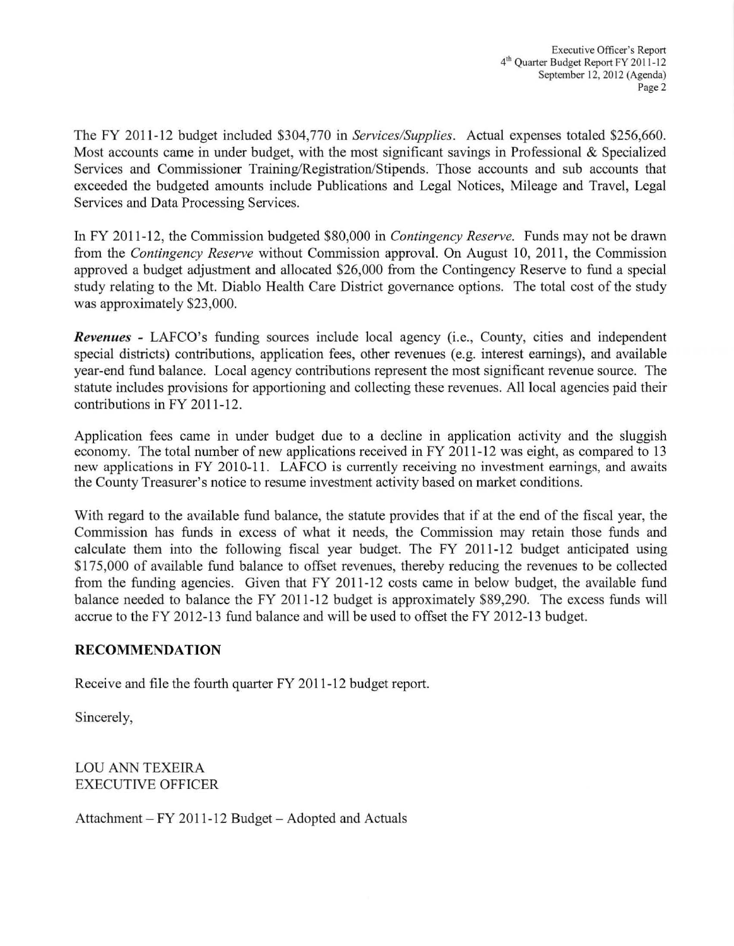The FY 2011-12 budget included \$304,770 in *Services/Supplies.* Actual expenses totaled \$256,660. Most accounts came in under budget, with the most significant savings in Professional & Specialized Services and Commissioner Training/Registration/Stipends. Those accounts and sub accounts that exceeded the budgeted amounts include Publications and Legal Notices, Mileage and Travel, Legal Services and Data Processing Services.

In FY 2011-12, the Commission budgeted \$80,000 in *Contingency Reserve.* Funds may not be drawn from the *Contingency Reserve* without Commission approval. On August 10, 2011, the Commission approved a budget adjustment and allocated \$26,000 from the Contingency Reserve to fund a special study relating to the Mt. Diablo Health Care District governance options. The total cost of the study was approximately \$23,000.

*Revenues* - LAFCO's funding sources include local agency (i.e., County, cities and independent special districts) contributions, application fees, other revenues (e.g. interest earnings), and available year-end fund balance. Local agency contributions represent the most significant revenue source. The statute includes provisions for apportioning and collecting these revenues. All local agencies paid their contributions in FY 2011-12.

Application fees came in under budget due to a decline in application activity and the sluggish economy. The total number of new applications received in FY 2011-12 was eight, as compared to 13 new applications in FY 2010-11. LAFCO is currently receiving no investment earnings, and awaits the County Treasurer's notice to resume investment activity based on market conditions.

With regard to the available fund balance, the statute provides that if at the end of the fiscal year, the Commission has funds in excess of what it needs, the Commission may retain those funds and calculate them into the following fiscal year budget. The FY 2011-12 budget anticipated using \$175,000 of available fund balance to offset revenues, thereby reducing the revenues to be collected from the funding agencies. Given that FY 2011-12 costs came in below budget, the available fund balance needed to balance the FY 2011-12 budget is approximately \$89,290. The excess funds will accrue to the FY 2012-13 fund balance and will be used to offset the FY 2012-13 budget.

### **RECOMMENDATION**

Receive and file the fourth quarter FY 2011-12 budget report.

Sincerely,

LOU ANN TEXEIRA EXECUTIVE OFFICER

Attachment  $-FY 2011-12$  Budget  $-$  Adopted and Actuals